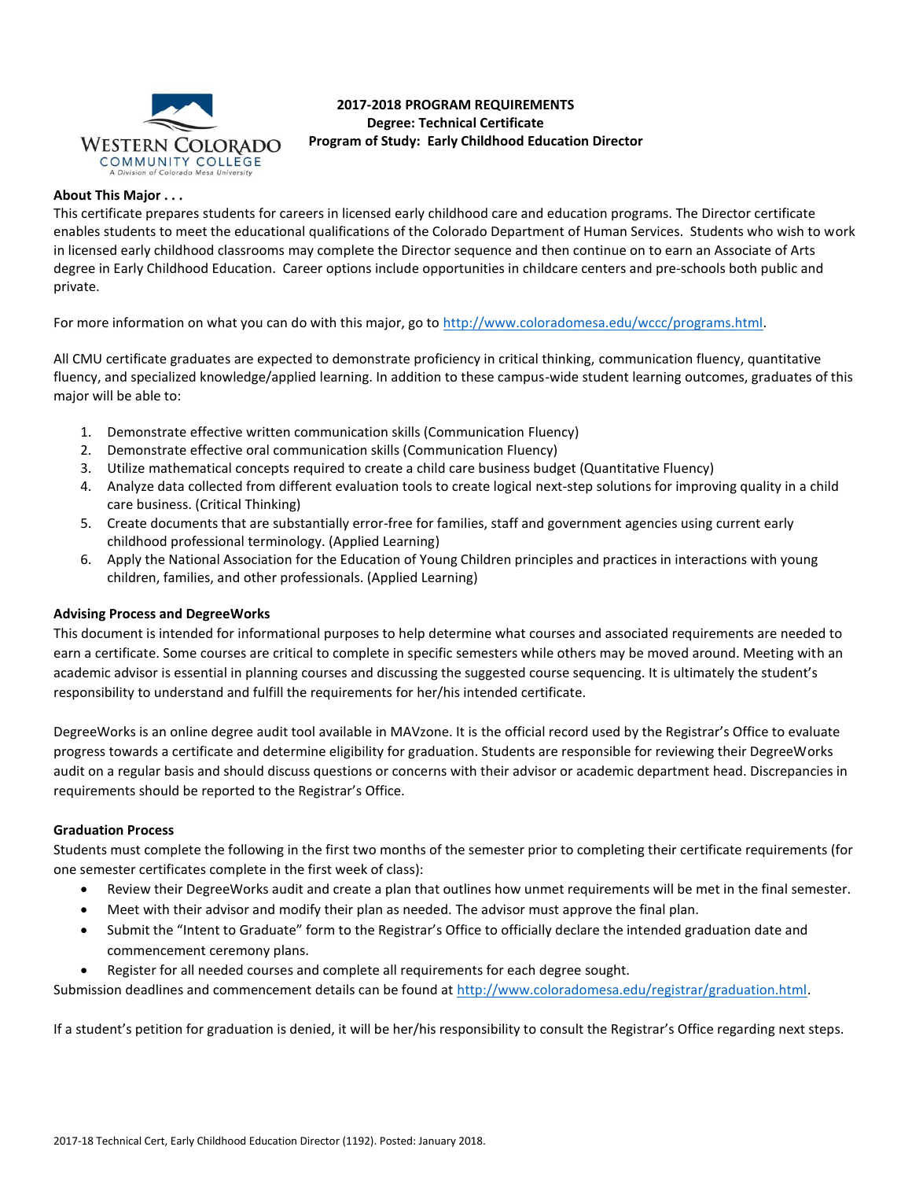

# **2017-2018 PROGRAM REQUIREMENTS Degree: Technical Certificate**  WESTERN COLORADO Program of Study: Early Childhood Education Director

### **About This Major . . .**

This certificate prepares students for careers in licensed early childhood care and education programs. The Director certificate enables students to meet the educational qualifications of the Colorado Department of Human Services. Students who wish to work in licensed early childhood classrooms may complete the Director sequence and then continue on to earn an Associate of Arts degree in Early Childhood Education. Career options include opportunities in childcare centers and pre-schools both public and private.

For more information on what you can do with this major, go t[o http://www.coloradomesa.edu/wccc/programs.html.](http://www.coloradomesa.edu/wccc/programs.html)

All CMU certificate graduates are expected to demonstrate proficiency in critical thinking, communication fluency, quantitative fluency, and specialized knowledge/applied learning. In addition to these campus-wide student learning outcomes, graduates of this major will be able to:

- 1. Demonstrate effective written communication skills (Communication Fluency)
- 2. Demonstrate effective oral communication skills (Communication Fluency)
- 3. Utilize mathematical concepts required to create a child care business budget (Quantitative Fluency)
- 4. Analyze data collected from different evaluation tools to create logical next-step solutions for improving quality in a child care business. (Critical Thinking)
- 5. Create documents that are substantially error-free for families, staff and government agencies using current early childhood professional terminology. (Applied Learning)
- 6. Apply the National Association for the Education of Young Children principles and practices in interactions with young children, families, and other professionals. (Applied Learning)

## **Advising Process and DegreeWorks**

This document is intended for informational purposes to help determine what courses and associated requirements are needed to earn a certificate. Some courses are critical to complete in specific semesters while others may be moved around. Meeting with an academic advisor is essential in planning courses and discussing the suggested course sequencing. It is ultimately the student's responsibility to understand and fulfill the requirements for her/his intended certificate.

DegreeWorks is an online degree audit tool available in MAVzone. It is the official record used by the Registrar's Office to evaluate progress towards a certificate and determine eligibility for graduation. Students are responsible for reviewing their DegreeWorks audit on a regular basis and should discuss questions or concerns with their advisor or academic department head. Discrepancies in requirements should be reported to the Registrar's Office.

#### **Graduation Process**

Students must complete the following in the first two months of the semester prior to completing their certificate requirements (for one semester certificates complete in the first week of class):

- Review their DegreeWorks audit and create a plan that outlines how unmet requirements will be met in the final semester.
- Meet with their advisor and modify their plan as needed. The advisor must approve the final plan.
- Submit the "Intent to Graduate" form to the Registrar's Office to officially declare the intended graduation date and commencement ceremony plans.
- Register for all needed courses and complete all requirements for each degree sought.

Submission deadlines and commencement details can be found at [http://www.coloradomesa.edu/registrar/graduation.html.](http://www.coloradomesa.edu/registrar/graduation.html)

If a student's petition for graduation is denied, it will be her/his responsibility to consult the Registrar's Office regarding next steps.